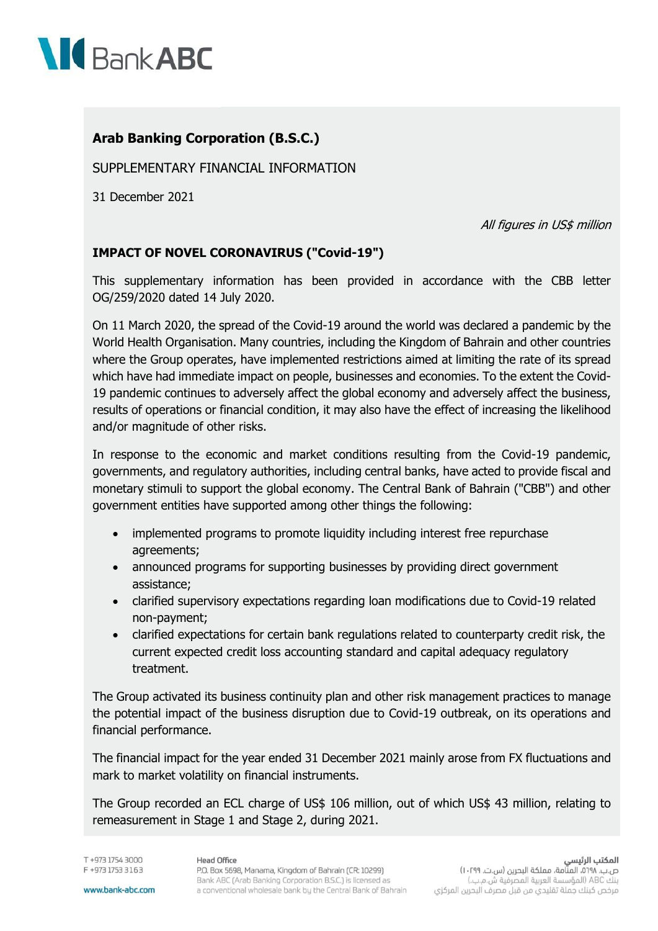

## **Arab Banking Corporation (B.S.C.)**

SUPPLEMENTARY FINANCIAL INFORMATION

31 December 2021

All figures in US\$ million

## **IMPACT OF NOVEL CORONAVIRUS ("Covid-19")**

This supplementary information has been provided in accordance with the CBB letter OG/259/2020 dated 14 July 2020.

On 11 March 2020, the spread of the Covid-19 around the world was declared a pandemic by the World Health Organisation. Many countries, including the Kingdom of Bahrain and other countries where the Group operates, have implemented restrictions aimed at limiting the rate of its spread which have had immediate impact on people, businesses and economies. To the extent the Covid-19 pandemic continues to adversely affect the global economy and adversely affect the business, results of operations or financial condition, it may also have the effect of increasing the likelihood and/or magnitude of other risks.

In response to the economic and market conditions resulting from the Covid-19 pandemic, governments, and regulatory authorities, including central banks, have acted to provide fiscal and monetary stimuli to support the global economy. The Central Bank of Bahrain ("CBB") and other government entities have supported among other things the following:

- implemented programs to promote liquidity including interest free repurchase agreements;
- announced programs for supporting businesses by providing direct government assistance;
- clarified supervisory expectations regarding loan modifications due to Covid-19 related non-payment;
- clarified expectations for certain bank regulations related to counterparty credit risk, the current expected credit loss accounting standard and capital adequacy regulatory treatment.

The Group activated its business continuity plan and other risk management practices to manage the potential impact of the business disruption due to Covid-19 outbreak, on its operations and financial performance.

The financial impact for the year ended 31 December 2021 mainly arose from FX fluctuations and mark to market volatility on financial instruments.

The Group recorded an ECL charge of US\$ 106 million, out of which US\$ 43 million, relating to remeasurement in Stage 1 and Stage 2, during 2021.

T +973 1754 3000 F +973 1753 3163 **Head Office**